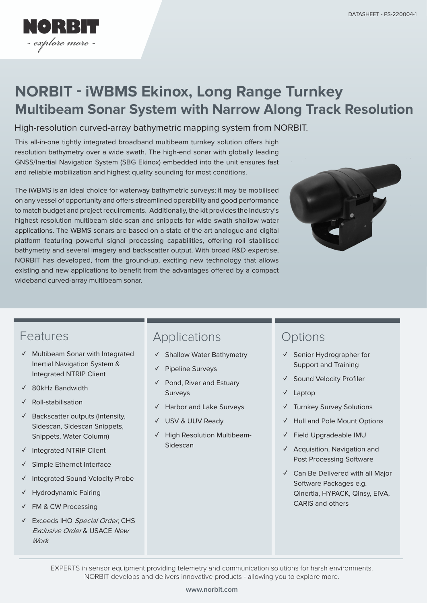

# **NORBIT - iWBMS Ekinox, Long Range Turnkey Multibeam Sonar System with Narrow Along Track Resolution**

#### High-resolution curved-array bathymetric mapping system from NORBIT.

This all-in-one tightly integrated broadband multibeam turnkey solution offers high resolution bathymetry over a wide swath. The high-end sonar with globally leading GNSS/Inertial Navigation System (SBG Ekinox) embedded into the unit ensures fast and reliable mobilization and highest quality sounding for most conditions.

The iWBMS is an ideal choice for waterway bathymetric surveys; it may be mobilised on any vessel of opportunity and offers streamlined operability and good performance to match budget and project requirements. Additionally, the kit provides the industry's highest resolution multibeam side-scan and snippets for wide swath shallow water applications. The WBMS sonars are based on a state of the art analogue and digital platform featuring powerful signal processing capabilities, offering roll stabilised bathymetry and several imagery and backscatter output. With broad R&D expertise, NORBIT has developed, from the ground-up, exciting new technology that allows existing and new applications to benefit from the advantages offered by a compact wideband curved-array multibeam sonar.



# Features

- **✓** Multibeam Sonar with Integrated Inertial Navigation System & Integrated NTRIP Client
- **✓** 80kHz Bandwidth
- **✓** Roll-stabilisation
- **✓** Backscatter outputs (Intensity, Sidescan, Sidescan Snippets, Snippets, Water Column)
- **✓** Integrated NTRIP Client
- **✓** Simple Ethernet Interface
- **Integrated Sound Velocity Probe**
- **✓** Hydrodynamic Fairing
- **✓** FM & CW Processing
- Exceeds IHO Special Order, CHS Exclusive Order & USACE New **Work**

### Applications

- **✓** Shallow Water Bathymetry
- **✓** Pipeline Surveys
- **✓** Pond, River and Estuary **Surveys**
- **✓** Harbor and Lake Surveys
- **✓** USV & UUV Ready
- **✓** High Resolution Multibeam-Sidescan

# **Options**

- **✓** Senior Hydrographer for Support and Training
- **✓** Sound Velocity Profiler
- **✓** Laptop
- **✓** Turnkey Survey Solutions
- **✓** Hull and Pole Mount Options
- **✓** Field Upgradeable IMU
- **✓** Acquisition, Navigation and Post Processing Software
- **✓** Can Be Delivered with all Major Software Packages e.g. Qinertia, HYPACK, Qinsy, EIVA, CARIS and others

EXPERTS in sensor equipment providing telemetry and communication solutions for harsh environments. NORBIT develops and delivers innovative products - allowing you to explore more.